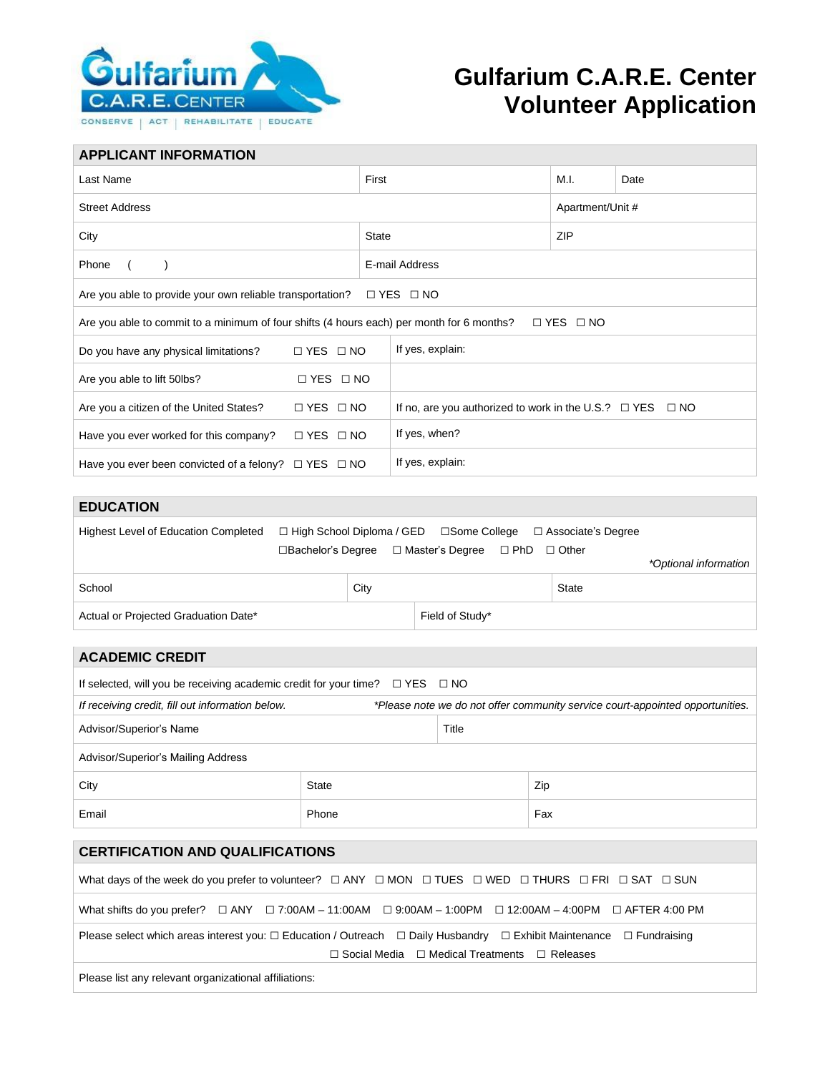

## **Gulfarium C.A.R.E. Center Volunteer Application**

| <b>APPLICANT INFORMATION</b>                                                                                      |              |                                                                     |                  |      |  |  |
|-------------------------------------------------------------------------------------------------------------------|--------------|---------------------------------------------------------------------|------------------|------|--|--|
| Last Name                                                                                                         | First        |                                                                     | M.I.             | Date |  |  |
| <b>Street Address</b>                                                                                             |              |                                                                     | Apartment/Unit # |      |  |  |
| City                                                                                                              | <b>State</b> |                                                                     | ZIP              |      |  |  |
| Phone                                                                                                             |              | E-mail Address                                                      |                  |      |  |  |
| $\Box$ YES $\Box$ NO<br>Are you able to provide your own reliable transportation?                                 |              |                                                                     |                  |      |  |  |
| Are you able to commit to a minimum of four shifts (4 hours each) per month for 6 months?<br>$\Box$ YES $\Box$ NO |              |                                                                     |                  |      |  |  |
| $\Box$ YES $\Box$ NO<br>Do you have any physical limitations?                                                     |              | If yes, explain:                                                    |                  |      |  |  |
| $\Box$ YES $\Box$ NO<br>Are you able to lift 50lbs?                                                               |              |                                                                     |                  |      |  |  |
| $\Box$ YES $\Box$ NO<br>Are you a citizen of the United States?                                                   |              | If no, are you authorized to work in the U.S.? $\Box$ YES $\Box$ NO |                  |      |  |  |
| Have you ever worked for this company?<br>$\Box$ YES $\Box$ NO                                                    |              | If yes, when?                                                       |                  |      |  |  |
| Have you ever been convicted of a felony? $\Box$ YES $\Box$ NO                                                    |              | If yes, explain:                                                    |                  |      |  |  |

| <b>EDUCATION</b>                            |      |                                                      |                      |                       |
|---------------------------------------------|------|------------------------------------------------------|----------------------|-----------------------|
| <b>Highest Level of Education Completed</b> |      | $\Box$ High School Diploma / GED $\Box$ Some College | □ Associate's Degree |                       |
|                                             |      | □Bachelor's Degree  □ Master's Degree  □ PhD □ Other |                      |                       |
|                                             |      |                                                      |                      | *Optional information |
| School                                      | City |                                                      | <b>State</b>         |                       |
| Actual or Projected Graduation Date*        |      | Field of Study*                                      |                      |                       |
|                                             |      |                                                      |                      |                       |
| <b>ACADEMIC CREDIT</b>                      |      |                                                      |                      |                       |

| AVADLIJIV VRLDI I                                                                                                                                                                                         |       |       |     |  |  |
|-----------------------------------------------------------------------------------------------------------------------------------------------------------------------------------------------------------|-------|-------|-----|--|--|
| If selected, will you be receiving academic credit for your time? $\Box$ YES $\Box$ NO                                                                                                                    |       |       |     |  |  |
| If receiving credit, fill out information below.<br>*Please note we do not offer community service court-appointed opportunities.                                                                         |       |       |     |  |  |
| Advisor/Superior's Name                                                                                                                                                                                   |       | Title |     |  |  |
| Advisor/Superior's Mailing Address                                                                                                                                                                        |       |       |     |  |  |
| City                                                                                                                                                                                                      | State |       | Zip |  |  |
| Email                                                                                                                                                                                                     | Phone |       | Fax |  |  |
|                                                                                                                                                                                                           |       |       |     |  |  |
| <b>CERTIFICATION AND QUALIFICATIONS</b>                                                                                                                                                                   |       |       |     |  |  |
| What days of the week do you prefer to volunteer? $\Box$ ANY $\Box$ MON $\Box$ TUES $\Box$ WED $\Box$ THURS $\Box$ FRI $\Box$ SAT $\Box$ SUN                                                              |       |       |     |  |  |
| What shifts do you prefer? $\Box$ ANY $\Box$ 7:00AM - 11:00AM $\Box$ 9:00AM - 1:00PM $\Box$ 12:00AM - 4:00PM $\Box$ AFTER 4:00 PM                                                                         |       |       |     |  |  |
| Please select which areas interest you: $\Box$ Education / Outreach $\Box$ Daily Husbandry $\Box$ Exhibit Maintenance $\Box$ Fundraising<br>$\Box$ Social Media $\Box$ Medical Treatments $\Box$ Releases |       |       |     |  |  |
|                                                                                                                                                                                                           |       |       |     |  |  |

Please list any relevant organizational affiliations: